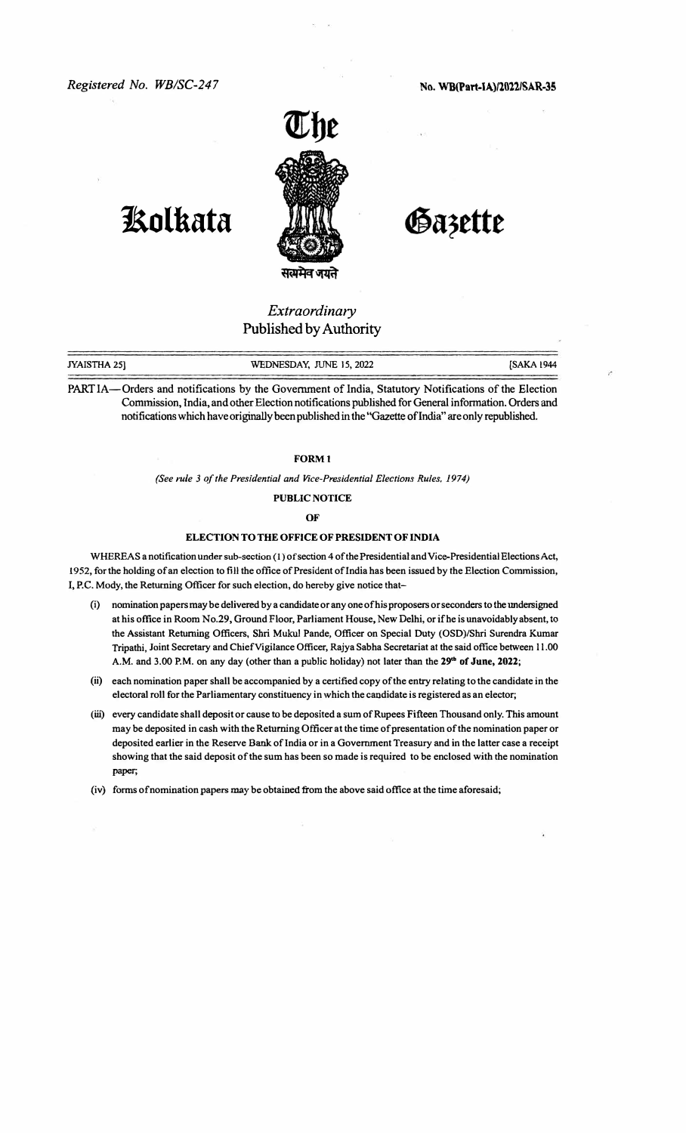

## **kolkata**

Gazette

## *Extraordinary*  Published by Authority

| JYAISTHA 25] | WEDNESDAY, JUNE 15, 2022                                                                                  | [SAKA 1944 |
|--------------|-----------------------------------------------------------------------------------------------------------|------------|
|              |                                                                                                           |            |
|              | <b>DADTIA</b> Orders and notifications by the Covernment of India Statutory Notifications of the Election |            |

Inders and notifications by the Government of India, Statutory Notifications of the Election Commission, India, and other Election notifications published for General information. Orders and **notifications** which have originally been published in the "Gazette **oflndia"** are only republished.

## **FORMl**

*(See rule 3 of the Presidential and Vice-Presidential Elections Rules. 1974)* 

**PUBLIC NOTICE** 

**OF** 

## **ELECTION TO THE OFFICE OF PRESIDENT OF INDIA**

WHEREAS a notification under sub-section (1) of section 4 of the Presidential and Vice-Presidential Elections Act, **1952, for the holding of an election to fill the office of President oflndia has been issued by the Election Commission, I, P.C. Mody, the Returning Officer for such election, do hereby give notice that-**

- (i) **nomination papers may be delivered by a candidate or any one ofhis proposers or seconders to the undersigned at his office in Room No.29, Ground Floor, Parliament House, New Delhi, or ifhe is unavoidably absent,** to **the Assistant Returning Officers, Shri Mukul Pande, Officer on Special Duty (OSD)/Shri Surendra Kumar Tripathi, Joint Secretary and Chief Vigilance Officer, Rajya Sabha Secretariat at the said office between 11.00 A.M. and 3.00 P.M. on any day (other than a public holiday) not later than the 29**th **of June, 2022;**
- (ii) **each nomination paper shall be accompanied by a certified copy of the entry relating to the candidate in the electoral roll for the Parliamentary constituency in which the candidate is registered as an elector;**
- (iii) **every candidate shall deposit or cause to be deposited a sum of Rupees Fifteen Thousand only. This amount may be deposited in cash with the Returning Officer at the time of presentation of the nomination paper or** deposited earlier in the Reserve Bank of India or in a Government Treasury and in the latter case a receipt **showing that the said deposit of the sum has been so made is required to be enclosed with the nomination** paper;
- **(iv) forms of nomination papers may be obtained from the above said office at the time aforesaid;**